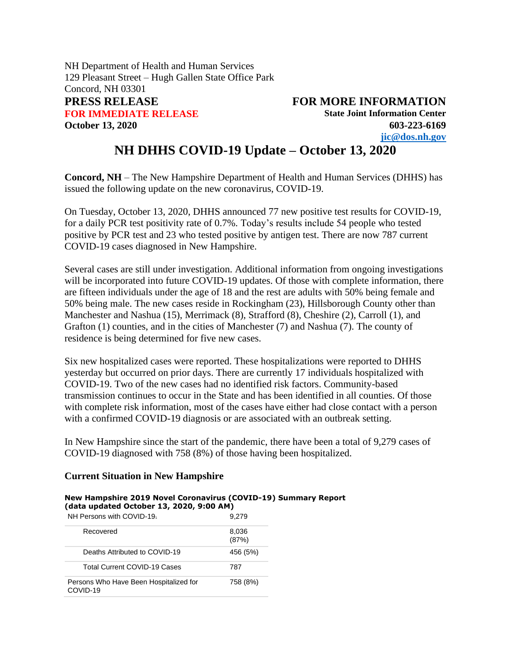NH Department of Health and Human Services 129 Pleasant Street – Hugh Gallen State Office Park Concord, NH 03301 **PRESS RELEASE FOR MORE INFORMATION FOR IMMEDIATE RELEASE State Joint Information Center October 13, 2020 603-223-6169**

**[jic@dos.nh.gov](mailto:jic@dos.nh.gov)**

# **NH DHHS COVID-19 Update – October 13, 2020**

**Concord, NH** – The New Hampshire Department of Health and Human Services (DHHS) has issued the following update on the new coronavirus, COVID-19.

On Tuesday, October 13, 2020, DHHS announced 77 new positive test results for COVID-19, for a daily PCR test positivity rate of 0.7%. Today's results include 54 people who tested positive by PCR test and 23 who tested positive by antigen test. There are now 787 current COVID-19 cases diagnosed in New Hampshire.

Several cases are still under investigation. Additional information from ongoing investigations will be incorporated into future COVID-19 updates. Of those with complete information, there are fifteen individuals under the age of 18 and the rest are adults with 50% being female and 50% being male. The new cases reside in Rockingham (23), Hillsborough County other than Manchester and Nashua (15), Merrimack (8), Strafford (8), Cheshire (2), Carroll (1), and Grafton (1) counties, and in the cities of Manchester (7) and Nashua (7). The county of residence is being determined for five new cases.

Six new hospitalized cases were reported. These hospitalizations were reported to DHHS yesterday but occurred on prior days. There are currently 17 individuals hospitalized with COVID-19. Two of the new cases had no identified risk factors. Community-based transmission continues to occur in the State and has been identified in all counties. Of those with complete risk information, most of the cases have either had close contact with a person with a confirmed COVID-19 diagnosis or are associated with an outbreak setting.

In New Hampshire since the start of the pandemic, there have been a total of 9,279 cases of COVID-19 diagnosed with 758 (8%) of those having been hospitalized.

### **Current Situation in New Hampshire**

#### **New Hampshire 2019 Novel Coronavirus (COVID-19) Summary Report (data updated October 13, 2020, 9:00 AM)**

| NH Persons with COVID-19                           | 9.279          |
|----------------------------------------------------|----------------|
| Recovered                                          | 8,036<br>(87%) |
| Deaths Attributed to COVID-19                      | 456 (5%)       |
| <b>Total Current COVID-19 Cases</b>                | 787            |
| Persons Who Have Been Hospitalized for<br>COVID-19 | 758 (8%)       |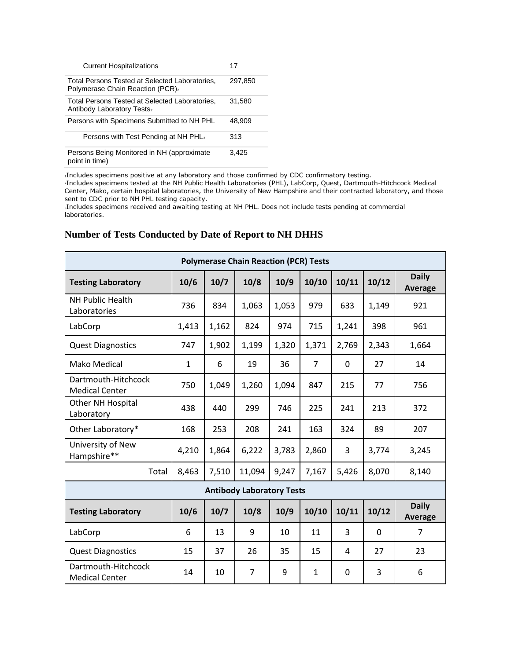| <b>Current Hospitalizations</b>                                                    | 17      |
|------------------------------------------------------------------------------------|---------|
| Total Persons Tested at Selected Laboratories.<br>Polymerase Chain Reaction (PCR)2 | 297.850 |
| Total Persons Tested at Selected Laboratories,<br>Antibody Laboratory Tests2       | 31.580  |
| Persons with Specimens Submitted to NH PHL                                         | 48.909  |
| Persons with Test Pending at NH PHL <sub>3</sub>                                   | 313     |
| Persons Being Monitored in NH (approximate<br>point in time)                       | 3.425   |

<sup>1</sup>Includes specimens positive at any laboratory and those confirmed by CDC confirmatory testing.

<sup>2</sup>Includes specimens tested at the NH Public Health Laboratories (PHL), LabCorp, Quest, Dartmouth-Hitchcock Medical Center, Mako, certain hospital laboratories, the University of New Hampshire and their contracted laboratory, and those sent to CDC prior to NH PHL testing capacity.

<sup>3</sup>Includes specimens received and awaiting testing at NH PHL. Does not include tests pending at commercial laboratories.

### **Number of Tests Conducted by Date of Report to NH DHHS**

| <b>Polymerase Chain Reaction (PCR) Tests</b> |              |       |        |       |                |       |          |                         |
|----------------------------------------------|--------------|-------|--------|-------|----------------|-------|----------|-------------------------|
| <b>Testing Laboratory</b>                    | 10/6         | 10/7  | 10/8   | 10/9  | 10/10          | 10/11 | 10/12    | <b>Daily</b><br>Average |
| <b>NH Public Health</b><br>Laboratories      | 736          | 834   | 1,063  | 1,053 | 979            | 633   | 1,149    | 921                     |
| LabCorp                                      | 1,413        | 1,162 | 824    | 974   | 715            | 1,241 | 398      | 961                     |
| <b>Quest Diagnostics</b>                     | 747          | 1,902 | 1,199  | 1,320 | 1,371          | 2,769 | 2,343    | 1,664                   |
| Mako Medical                                 | $\mathbf{1}$ | 6     | 19     | 36    | $\overline{7}$ | 0     | 27       | 14                      |
| Dartmouth-Hitchcock<br><b>Medical Center</b> | 750          | 1,049 | 1,260  | 1,094 | 847            | 215   | 77       | 756                     |
| Other NH Hospital<br>Laboratory              | 438          | 440   | 299    | 746   | 225            | 241   | 213      | 372                     |
| Other Laboratory*                            | 168          | 253   | 208    | 241   | 163            | 324   | 89       | 207                     |
| University of New<br>Hampshire**             | 4,210        | 1,864 | 6,222  | 3,783 | 2,860          | 3     | 3,774    | 3,245                   |
| Total                                        | 8,463        | 7,510 | 11,094 | 9,247 | 7,167          | 5,426 | 8,070    | 8,140                   |
| <b>Antibody Laboratory Tests</b>             |              |       |        |       |                |       |          |                         |
| <b>Testing Laboratory</b>                    | 10/6         | 10/7  | 10/8   | 10/9  | 10/10          | 10/11 | 10/12    | <b>Daily</b><br>Average |
| LabCorp                                      | 6            | 13    | 9      | 10    | 11             | 3     | $\Omega$ | 7                       |
| <b>Quest Diagnostics</b>                     | 15           | 37    | 26     | 35    | 15             | 4     | 27       | 23                      |
| Dartmouth-Hitchcock<br><b>Medical Center</b> | 14           | 10    | 7      | 9     | $\mathbf{1}$   | 0     | 3        | 6                       |